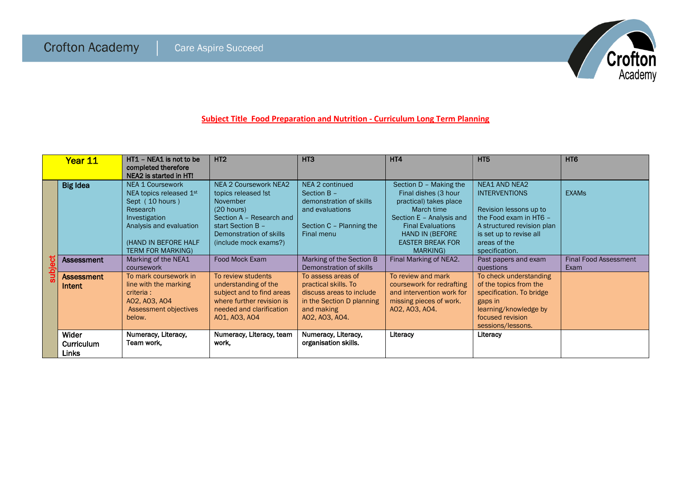

## **Subject Title Food Preparation and Nutrition - Curriculum Long Term Planning**

| Year 11   |                                            | HT1 - NEA1 is not to be<br>completed therefore<br>NEA2 is started in HT!                                                                                                          | H <sub>T2</sub>                                                                                                                                                                    | HT <sub>3</sub>                                                                                                                     | HT4                                                                                                                                                                                                      | HT <sub>5</sub>                                                                                                                                                                             | HT <sub>6</sub>                      |
|-----------|--------------------------------------------|-----------------------------------------------------------------------------------------------------------------------------------------------------------------------------------|------------------------------------------------------------------------------------------------------------------------------------------------------------------------------------|-------------------------------------------------------------------------------------------------------------------------------------|----------------------------------------------------------------------------------------------------------------------------------------------------------------------------------------------------------|---------------------------------------------------------------------------------------------------------------------------------------------------------------------------------------------|--------------------------------------|
| <u>e-</u> | <b>Big Idea</b>                            | <b>NEA 1 Coursework</b><br>NEA topics released 1st<br>Sept (10 hours)<br>Research<br>Investigation<br>Analysis and evaluation<br>(HAND IN BEFORE HALF<br><b>TERM FOR MARKING)</b> | <b>NEA 2 Coursework NEA2</b><br>topics released !st<br>November<br>(20 hours)<br>Section A - Research and<br>start Section B -<br>Demonstration of skills<br>(include mock exams?) | NEA 2 continued<br>Section B -<br>demonstration of skills<br>and evaluations<br>Section C - Planning the<br>Final menu              | Section D - Making the<br>Final dishes (3 hour<br>practical) takes place<br>March time<br>Section E - Analysis and<br><b>Final Evaluations</b><br>HAND IN (BEFORE<br><b>EASTER BREAK FOR</b><br>MARKING) | <b>NEA1 AND NEA2</b><br><b>INTERVENTIONS</b><br>Revision lessons up to<br>the Food exam in HT6 -<br>A structured revision plan<br>is set up to revise all<br>areas of the<br>specification. | <b>EXAMS</b>                         |
|           | <b>Assessment</b>                          | Marking of the NEA1<br>coursework                                                                                                                                                 | Food Mock Exam                                                                                                                                                                     | Marking of the Section B<br>Demonstration of skills                                                                                 | Final Marking of NEA2.                                                                                                                                                                                   | Past papers and exam<br>questions                                                                                                                                                           | <b>Final Food Assessment</b><br>Exam |
|           | <b>Assessment</b><br>Intent                | To mark coursework in<br>line with the marking<br>criteria:<br>A02, A03, A04<br>Assessment objectives<br>below.                                                                   | To review students<br>understanding of the<br>subject and to find areas<br>where further revision is<br>needed and clarification<br>AO1, AO3, AO4                                  | To assess areas of<br>practical skills. To<br>discuss areas to include<br>in the Section D planning<br>and making<br>A02, A03, A04. | To review and mark<br>coursework for redrafting<br>and intervention work for<br>missing pieces of work.<br>A02, A03, A04.                                                                                | To check understanding<br>of the topics from the<br>specification. To bridge<br>gaps in<br>learning/knowledge by<br>focused revision<br>sessions/lessons.                                   |                                      |
|           | Wider<br><b>Curriculum</b><br><b>Links</b> | Numeracy, Literacy,<br>Team work,                                                                                                                                                 | Numeracy, Literacy, team<br>work.                                                                                                                                                  | Numeracy, Literacy,<br>organisation skills.                                                                                         | Literacy                                                                                                                                                                                                 | Literacy                                                                                                                                                                                    |                                      |